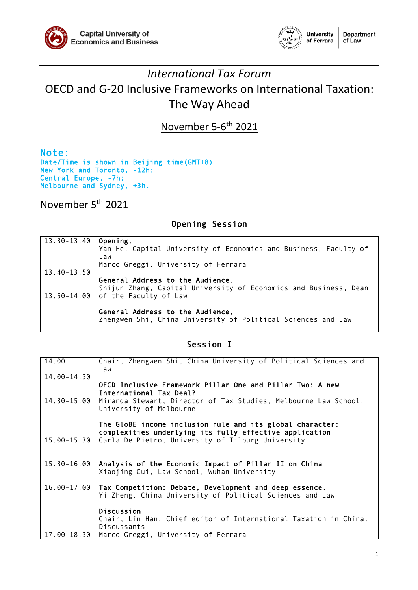



# *International Tax Forum* OECD and G-20 Inclusive Frameworks on International Taxation: The Way Ahead

November 5-6<sup>th</sup> 2021

Note:<br>Date/Time is shown in Beijing time(GMT+8) New York and Toronto, -12h; Central Europe, -7h; Melbourne and Sydney, +3h.

### November 5th 2021

#### Opening Session

| 13.30-13.40   Opening, |                                                                  |
|------------------------|------------------------------------------------------------------|
|                        | Yan He, Capital University of Economics and Business, Faculty of |
|                        | Law                                                              |
|                        | Marco Greggi, University of Ferrara                              |
| 13.40-13.50            |                                                                  |
|                        | General Address to the Audience,                                 |
|                        | Shijun Zhang, Capital University of Economics and Business, Dean |
|                        | 13.50-14.00 of the Faculty of Law                                |
|                        |                                                                  |
|                        | General Address to the Audience,                                 |
|                        | Zhengwen Shi, China University of Political Sciences and Law     |
|                        |                                                                  |

#### Session I

| 14.00           | Chair, Zhengwen Shi, China University of Political Sciences and<br>Law                                                                                                             |
|-----------------|------------------------------------------------------------------------------------------------------------------------------------------------------------------------------------|
| 14.00-14.30     |                                                                                                                                                                                    |
| $14.30 - 15.00$ | OECD Inclusive Framework Pillar One and Pillar Two: A new<br>International Tax Deal?<br>Miranda Stewart, Director of Tax Studies, Melbourne Law School,<br>University of Melbourne |
|                 | The GloBE income inclusion rule and its global character:                                                                                                                          |
|                 | complexities underlying its fully effective application                                                                                                                            |
| $15.00 - 15.30$ | Carla De Pietro, University of Tilburg University                                                                                                                                  |
|                 |                                                                                                                                                                                    |
| $15.30 - 16.00$ | Analysis of the Economic Impact of Pillar II on China                                                                                                                              |
|                 | Xiaojing Cui, Law School, Wuhan University                                                                                                                                         |
|                 |                                                                                                                                                                                    |
| 16.00-17.00     | Tax Competition: Debate, Development and deep essence.<br>Yi Zheng, China University of Political Sciences and Law                                                                 |
|                 |                                                                                                                                                                                    |
|                 | Discussion                                                                                                                                                                         |
|                 | Chair, Lin Han, Chief editor of International Taxation in China.                                                                                                                   |
|                 | <b>Discussants</b>                                                                                                                                                                 |
| 17.00-18.30     | Marco Greggi, University of Ferrara                                                                                                                                                |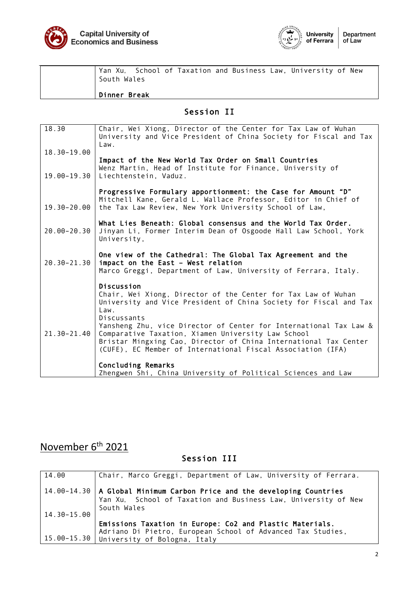



| South Wales  |  |  |  | Yan Xu, School of Taxation and Business Law, University of New |  |
|--------------|--|--|--|----------------------------------------------------------------|--|
| Dinner Break |  |  |  |                                                                |  |

### Session II

| 18.30           | Chair, Wei Xiong, Director of the Center for Tax Law of Wuhan<br>University and Vice President of China Society for Fiscal and Tax<br>Law.                                               |
|-----------------|------------------------------------------------------------------------------------------------------------------------------------------------------------------------------------------|
| 18.30-19.00     | Impact of the New World Tax Order on Small Countries                                                                                                                                     |
| 19.00-19.30     | Wenz Martin, Head of Institute for Finance, University of<br>Liechtenstein, Vaduz.                                                                                                       |
| $19.30 - 20.00$ | Progressive Formulary apportionment: the Case for Amount "D"<br>Mitchell Kane, Gerald L. Wallace Professor, Editor in Chief of<br>the Tax Law Review, New York University School of Law, |
| $20.00 - 20.30$ | What Lies Beneath: Global consensus and the World Tax Order.<br>Jinyan Li, Former Interim Dean of Osgoode Hall Law School, York<br>University,                                           |
| $20.30 - 21.30$ | One view of the Cathedral: The Global Tax Agreement and the<br>impact on the East - West relation<br>Marco Greggi, Department of Law, University of Ferrara, Italy.                      |
|                 | Discussion<br>Chair, Wei Xiong, Director of the Center for Tax Law of Wuhan                                                                                                              |
|                 | University and Vice President of China Society for Fiscal and Tax<br>Law.                                                                                                                |
| $21.30 - 21.40$ | Discussants<br>Yansheng Zhu, vice Director of Center for International Tax Law &<br>Comparative Taxation, Xiamen University Law School                                                   |
|                 | Bristar Mingxing Cao, Director of China International Tax Center<br>(CUFE), EC Member of International Fiscal Association (IFA)                                                          |
|                 | Concluding Remarks<br>Zhengwen Shi, China University of Political Sciences and Law                                                                                                       |

# November 6<sup>th</sup> 2021

## Session III

| 14.00           | Chair, Marco Greggi, Department of Law, University of Ferrara.             |
|-----------------|----------------------------------------------------------------------------|
|                 |                                                                            |
|                 |                                                                            |
|                 | $14.00-14.30$   A Global Minimum Carbon Price and the developing Countries |
|                 | Yan Xu, School of Taxation and Business Law, University of New             |
|                 |                                                                            |
|                 | South Wales                                                                |
| $14.30 - 15.00$ |                                                                            |
|                 |                                                                            |
|                 | Emissions Taxation in Europe: Co2 and Plastic Materials.                   |
|                 |                                                                            |
|                 | Adriano Di Pietro, European School of Advanced Tax Studies,                |
|                 | 15.00-15.30 University of Bologna, Italy                                   |
|                 |                                                                            |